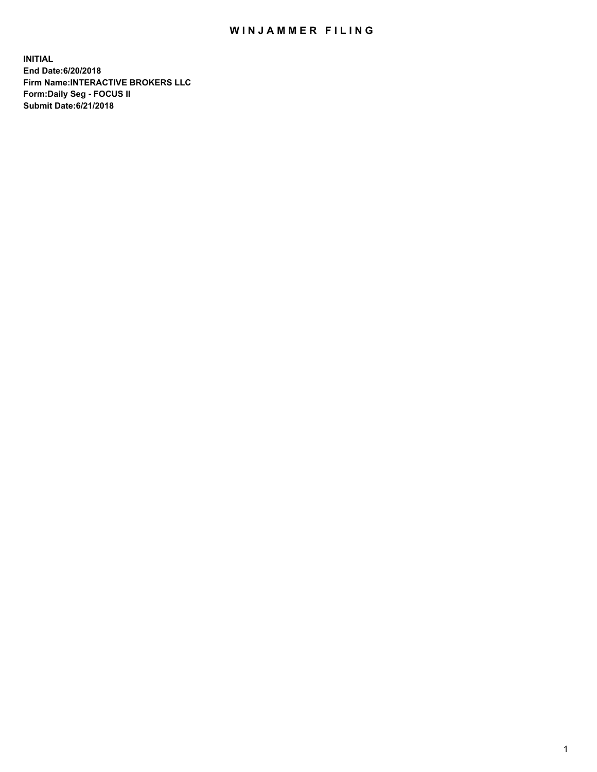## WIN JAMMER FILING

**INITIAL End Date:6/20/2018 Firm Name:INTERACTIVE BROKERS LLC Form:Daily Seg - FOCUS II Submit Date:6/21/2018**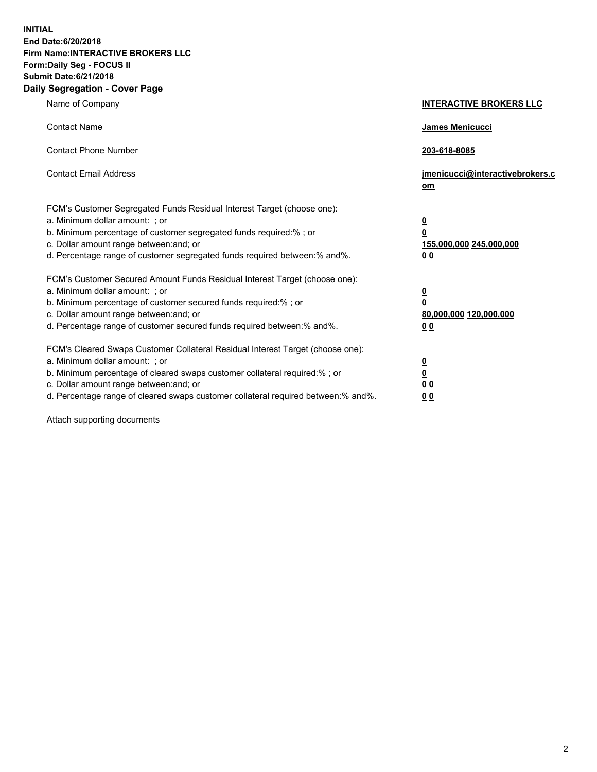**INITIAL End Date:6/20/2018 Firm Name:INTERACTIVE BROKERS LLC Form:Daily Seg - FOCUS II Submit Date:6/21/2018 Daily Segregation - Cover Page**

| Name of Company                                                                                                                                                                                                                                                                                                                | <b>INTERACTIVE BROKERS LLC</b>                                                                  |
|--------------------------------------------------------------------------------------------------------------------------------------------------------------------------------------------------------------------------------------------------------------------------------------------------------------------------------|-------------------------------------------------------------------------------------------------|
| <b>Contact Name</b>                                                                                                                                                                                                                                                                                                            | James Menicucci                                                                                 |
| <b>Contact Phone Number</b>                                                                                                                                                                                                                                                                                                    | 203-618-8085                                                                                    |
| <b>Contact Email Address</b>                                                                                                                                                                                                                                                                                                   | jmenicucci@interactivebrokers.c<br>om                                                           |
| FCM's Customer Segregated Funds Residual Interest Target (choose one):<br>a. Minimum dollar amount: ; or<br>b. Minimum percentage of customer segregated funds required:% ; or<br>c. Dollar amount range between: and; or<br>d. Percentage range of customer segregated funds required between:% and%.                         | $\overline{\mathbf{0}}$<br>$\overline{\mathbf{0}}$<br>155,000,000 245,000,000<br>0 <sub>0</sub> |
| FCM's Customer Secured Amount Funds Residual Interest Target (choose one):<br>a. Minimum dollar amount: ; or<br>b. Minimum percentage of customer secured funds required:% ; or<br>c. Dollar amount range between: and; or<br>d. Percentage range of customer secured funds required between:% and%.                           | $\overline{\mathbf{0}}$<br>0<br>80,000,000 120,000,000<br>0 <sub>0</sub>                        |
| FCM's Cleared Swaps Customer Collateral Residual Interest Target (choose one):<br>a. Minimum dollar amount: ; or<br>b. Minimum percentage of cleared swaps customer collateral required:% ; or<br>c. Dollar amount range between: and; or<br>d. Percentage range of cleared swaps customer collateral required between:% and%. | $\overline{\mathbf{0}}$<br><u>0</u><br>$\underline{0}$ $\underline{0}$<br>00                    |

Attach supporting documents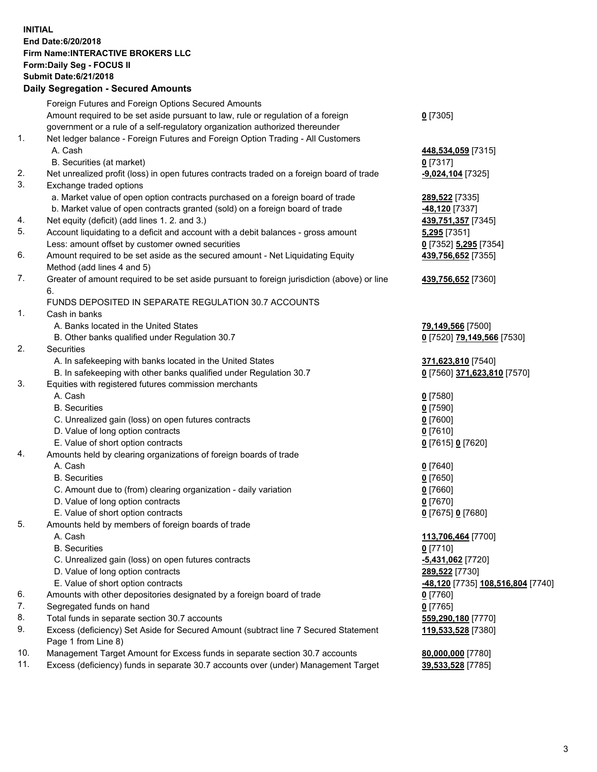## **INITIAL End Date:6/20/2018 Firm Name:INTERACTIVE BROKERS LLC Form:Daily Seg - FOCUS II Submit Date:6/21/2018 Daily Segregation - Secured Amounts**

|                | Daily Ocglegation - Occarea Anioants                                                              |                                                |
|----------------|---------------------------------------------------------------------------------------------------|------------------------------------------------|
|                | Foreign Futures and Foreign Options Secured Amounts                                               |                                                |
|                | Amount required to be set aside pursuant to law, rule or regulation of a foreign                  | $0$ [7305]                                     |
|                | government or a rule of a self-regulatory organization authorized thereunder                      |                                                |
| $\mathbf{1}$ . | Net ledger balance - Foreign Futures and Foreign Option Trading - All Customers                   |                                                |
|                | A. Cash                                                                                           | 448,534,059 [7315]                             |
|                | B. Securities (at market)                                                                         | $0$ [7317]                                     |
| 2.             | Net unrealized profit (loss) in open futures contracts traded on a foreign board of trade         | -9,024,104 [7325]                              |
| 3.             | Exchange traded options                                                                           |                                                |
|                | a. Market value of open option contracts purchased on a foreign board of trade                    | 289,522 [7335]                                 |
|                | b. Market value of open contracts granted (sold) on a foreign board of trade                      | -48,120 [7337]                                 |
| 4.             | Net equity (deficit) (add lines 1. 2. and 3.)                                                     | 439,751,357 [7345]                             |
| 5.             | Account liquidating to a deficit and account with a debit balances - gross amount                 | <b>5,295</b> [7351]                            |
|                | Less: amount offset by customer owned securities                                                  | 0 [7352] 5,295 [7354]                          |
| 6.             | Amount required to be set aside as the secured amount - Net Liquidating Equity                    | 439,756,652 [7355]                             |
|                | Method (add lines 4 and 5)                                                                        |                                                |
| 7.             | Greater of amount required to be set aside pursuant to foreign jurisdiction (above) or line<br>6. | 439,756,652 [7360]                             |
|                | FUNDS DEPOSITED IN SEPARATE REGULATION 30.7 ACCOUNTS                                              |                                                |
| 1.             | Cash in banks                                                                                     |                                                |
|                | A. Banks located in the United States                                                             | 79,149,566 [7500]                              |
|                | B. Other banks qualified under Regulation 30.7                                                    | 0 [7520] 79,149,566 [7530]                     |
| 2.             | Securities                                                                                        |                                                |
|                | A. In safekeeping with banks located in the United States                                         | 371,623,810 [7540]                             |
|                | B. In safekeeping with other banks qualified under Regulation 30.7                                | 0 [7560] 371,623,810 [7570]                    |
| 3.             | Equities with registered futures commission merchants                                             |                                                |
|                | A. Cash                                                                                           | $0$ [7580]                                     |
|                | <b>B.</b> Securities                                                                              | $0$ [7590]                                     |
|                | C. Unrealized gain (loss) on open futures contracts                                               | $0$ [7600]                                     |
|                | D. Value of long option contracts                                                                 | $0$ [7610]                                     |
|                | E. Value of short option contracts                                                                | 0 [7615] 0 [7620]                              |
| 4.             | Amounts held by clearing organizations of foreign boards of trade                                 |                                                |
|                | A. Cash                                                                                           | $Q$ [7640]                                     |
|                | <b>B.</b> Securities                                                                              | $0$ [7650]                                     |
|                | C. Amount due to (from) clearing organization - daily variation                                   | $0$ [7660]                                     |
|                | D. Value of long option contracts                                                                 | $0$ [7670]                                     |
|                | E. Value of short option contracts                                                                | 0 [7675] 0 [7680]                              |
| 5.             | Amounts held by members of foreign boards of trade                                                |                                                |
|                | A. Cash                                                                                           | 113,706,464 [7700]                             |
|                | <b>B.</b> Securities                                                                              | $0$ [7710]                                     |
|                | C. Unrealized gain (loss) on open futures contracts                                               | $-5,431,062$ [7720]                            |
|                | D. Value of long option contracts                                                                 | 289,522 [7730]                                 |
|                | E. Value of short option contracts                                                                | <mark>-48,120</mark> [7735] 108,516,804 [7740] |
| 6.             | Amounts with other depositories designated by a foreign board of trade                            | 0 [7760]                                       |
| 7.             | Segregated funds on hand                                                                          | $0$ [7765]                                     |
| 8.             | Total funds in separate section 30.7 accounts                                                     | 559,290,180 [7770]                             |
| 9.             | Excess (deficiency) Set Aside for Secured Amount (subtract line 7 Secured Statement               | 119,533,528 [7380]                             |
|                | Page 1 from Line 8)                                                                               |                                                |
| 10.            | Management Target Amount for Excess funds in separate section 30.7 accounts                       | 80,000,000 [7780]                              |
| 11.            | Excess (deficiency) funds in separate 30.7 accounts over (under) Management Target                | 39,533,528 [7785]                              |
|                |                                                                                                   |                                                |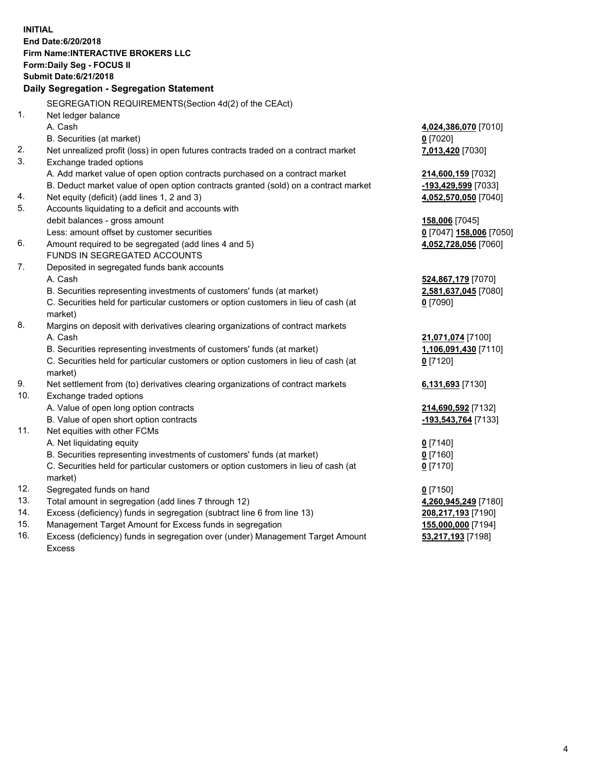**INITIAL End Date:6/20/2018 Firm Name:INTERACTIVE BROKERS LLC Form:Daily Seg - FOCUS II Submit Date:6/21/2018 Daily Segregation - Segregation Statement** SEGREGATION REQUIREMENTS(Section 4d(2) of the CEAct) 1. Net ledger balance A. Cash **4,024,386,070** [7010] B. Securities (at market) **0** [7020] 2. Net unrealized profit (loss) in open futures contracts traded on a contract market **7,013,420** [7030] 3. Exchange traded options A. Add market value of open option contracts purchased on a contract market **214,600,159** [7032] B. Deduct market value of open option contracts granted (sold) on a contract market **-193,429,599** [7033] 4. Net equity (deficit) (add lines 1, 2 and 3) **4,052,570,050** [7040] 5. Accounts liquidating to a deficit and accounts with debit balances - gross amount **158,006** [7045] Less: amount offset by customer securities **0** [7047] **158,006** [7050] 6. Amount required to be segregated (add lines 4 and 5) **4,052,728,056** [7060] FUNDS IN SEGREGATED ACCOUNTS 7. Deposited in segregated funds bank accounts A. Cash **524,867,179** [7070] B. Securities representing investments of customers' funds (at market) **2,581,637,045** [7080] C. Securities held for particular customers or option customers in lieu of cash (at market) **0** [7090] 8. Margins on deposit with derivatives clearing organizations of contract markets A. Cash **21,071,074** [7100] B. Securities representing investments of customers' funds (at market) **1,106,091,430** [7110] C. Securities held for particular customers or option customers in lieu of cash (at market) **0** [7120] 9. Net settlement from (to) derivatives clearing organizations of contract markets **6,131,693** [7130] 10. Exchange traded options A. Value of open long option contracts **214,690,592** [7132] B. Value of open short option contracts **-193,543,764** [7133] 11. Net equities with other FCMs A. Net liquidating equity **0** [7140] B. Securities representing investments of customers' funds (at market) **0** [7160] C. Securities held for particular customers or option customers in lieu of cash (at market) **0** [7170] 12. Segregated funds on hand **0** [7150] 13. Total amount in segregation (add lines 7 through 12) **4,260,945,249** [7180] 14. Excess (deficiency) funds in segregation (subtract line 6 from line 13) **208,217,193** [7190] 15. Management Target Amount for Excess funds in segregation **155,000,000** [7194]

16. Excess (deficiency) funds in segregation over (under) Management Target Amount Excess

**53,217,193** [7198]